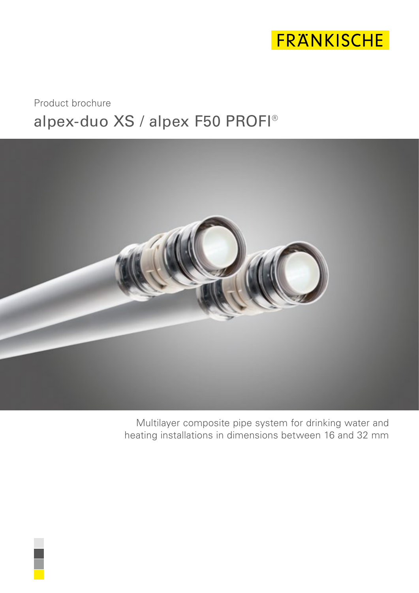

# alpex-duo XS / alpex F50 PROFI® Product brochure



Multilayer composite pipe system for drinking water and heating installations in dimensions between 16 and 32 mm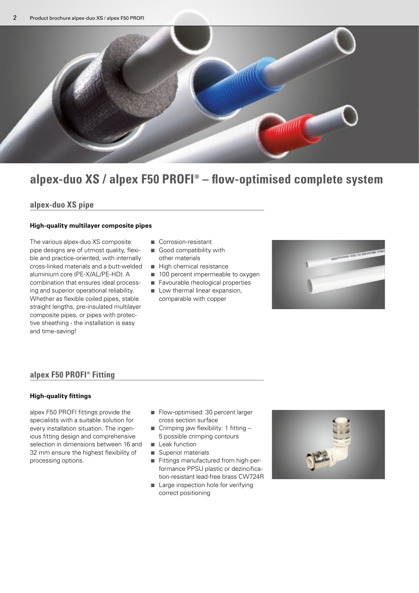

# **alpex-duo XS / alpex F50 PROFI® – flow-optimised complete system**

## **alpex-duo XS pipe**

#### **High-quality multilayer composite pipes**

The various alpex-duo XS composite pipe designs are of utmost quality, flexible and practice-oriented, with internally cross-linked materials and a butt-welded aluminium core (PE-X/AL/PE-HD). A combination that ensures ideal processing and superior operational reliability. Whether as flexible coiled pipes, stable straight lengths, pre-insulated multilayer composite pipes, or pipes with protective sheathing - the installation is easy and time-saving!

- Corrosion-resistant
- Good compatibility with other materials
- $\blacksquare$  High chemical resistance
- $\Box$  100 percent impermeable to oxygen
- $\blacksquare$  Favourable rheological properties
- $\blacksquare$  Low thermal linear expansion, comparable with copper



## **alpex F50 PROFI® Fitting**

#### **High-quality fittings**

alpex F50 PROFI fittings provide the specialists with a suitable solution for every installation situation. The ingenious fitting design and comprehensive selection in dimensions between 16 and 32 mm ensure the highest flexibility of processing options.

- Flow-optimised: 30 percent larger cross section surface
- $\blacksquare$  Crimping jaw flexibility: 1 fitting 5 possible crimping contours
- **n** Leak function
- Superior materials
- Fittings manufactured from high-performance PPSU plastic or dezincification-resistant lead-free brass CW724R
- **n** Large inspection hole for verifying correct positioning

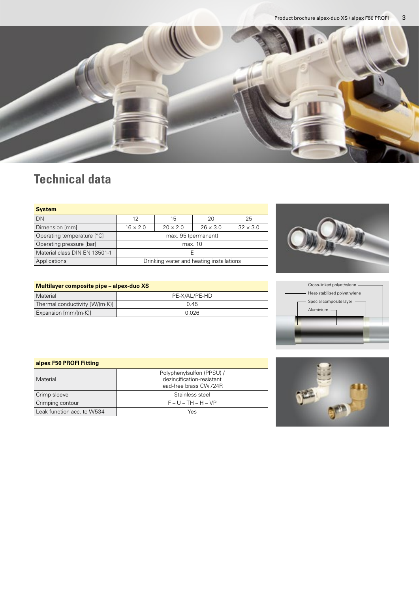

# **Technical data**

| <b>System</b>                 |                                          |                 |                 |                 |
|-------------------------------|------------------------------------------|-----------------|-----------------|-----------------|
| DN                            | 12                                       | 15              | 20              | 25              |
| Dimension [mm]                | $16 \times 2.0$                          | $20 \times 2.0$ | $26 \times 3.0$ | $32 \times 3.0$ |
| Operating temperature [°C]    | max. 95 (permanent)                      |                 |                 |                 |
| Operating pressure [bar]      | max. 10                                  |                 |                 |                 |
| Material class DIN EN 13501-1 | F                                        |                 |                 |                 |
| Applications                  | Drinking water and heating installations |                 |                 |                 |



#### **Multilayer composite pipe – alpex-duo XS**

| Material                            | PE-X/AL/PE-HD |  |
|-------------------------------------|---------------|--|
| Thermal conductivity [W/(m·K)]      | 0.45          |  |
| Expansion $\text{[mm/(m \cdot K)]}$ | 0.026         |  |



## **alpex F50 PROFI Fitting**

| Material                   | Polyphenylsulfon (PPSU) /<br>dezincification-resistant<br>lead-free brass CW724R |
|----------------------------|----------------------------------------------------------------------------------|
| Crimp sleeve               | Stainless steel                                                                  |
| Crimping contour           | $F - U - TH - H - VP$                                                            |
| Leak function acc. to W534 | Yes                                                                              |

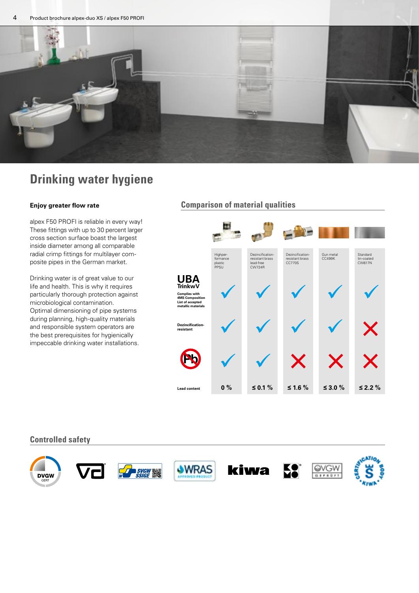

# **Drinking water hygiene**

alpex F50 PROFI is reliable in every way! These fittings with up to 30 percent larger cross section surface boast the largest inside diameter among all comparable radial crimp fittings for multilayer composite pipes in the German market.

Drinking water is of great value to our life and health. This is why it requires particularly thorough protection against microbiological contamination. Optimal dimensioning of pipe systems during planning, high-quality materials and responsible system operators are the best prerequisites for hygienically impeccable drinking water installations.

# **Enjoy greater flow rate Comparison of material qualities**



## **Controlled safety**











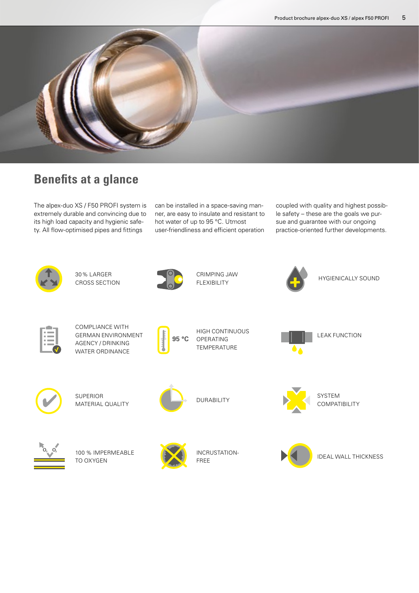

# **Benefits at a glance**

The alpex-duo XS / F50 PROFI system is extremely durable and convincing due to its high load capacity and hygienic safety. All flow-optimised pipes and fittings

can be installed in a space-saving manner, are easy to insulate and resistant to hot water of up to 95 °C. Utmost user-friendliness and efficient operation coupled with quality and highest possible safety – these are the goals we pursue and guarantee with our ongoing practice-oriented further developments.



30% LARGER CROSS SECTION



CRIMPING JAW FLEXIBILITY



HYGIENICALLY SOUND



COMPLIANCE WITH GERMAN ENVIRONMENT AGENCY / DRINKING WATER ORDINANCE



HIGH CONTINUOUS OPERATING TEMPERATURE





SUPERIOR MATERIAL QUALITY



DURABILITY



100 % IMPERMEABLE TO OXYGEN



INCRUSTATION-



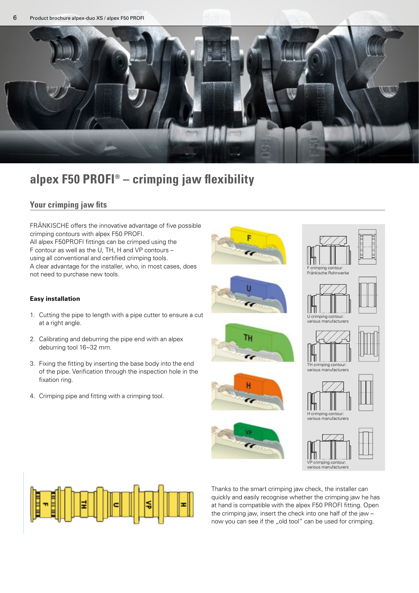

# **alpex F50 PROFI® – crimping jaw flexibility**

# **Your crimping jaw fits**

FRÄNKISCHE offers the innovative advantage of five possible crimping contours with alpex F50 PROFI. All alpex F50PROFI fittings can be crimped using the F contour as well as the U, TH, H and VP contours – using all conventional and certified crimping tools. A clear advantage for the installer, who, in most cases, does not need to purchase new tools.

## **Easy installation**

- 1. Cutting the pipe to length with a pipe cutter to ensure a cut at a right angle.
- 2. Calibrating and deburring the pipe end with an alpex deburring tool 16–32 mm.
- 3. Fixing the fitting by inserting the base body into the end of the pipe. Verification through the inspection hole in the fixation ring.
- 4. Crimping pipe and fitting with a crimping tool.











U crimping contour: various manufacturers





TH crimping contour: various manufacturers



H crimping contou ous manufacturers



oing cor





Thanks to the smart crimping jaw check, the installer can quickly and easily recognise whether the crimping jaw he has at hand is compatible with the alpex F50 PROFI fitting. Open the crimping jaw, insert the check into one half of the jaw – now you can see if the "old tool" can be used for crimping.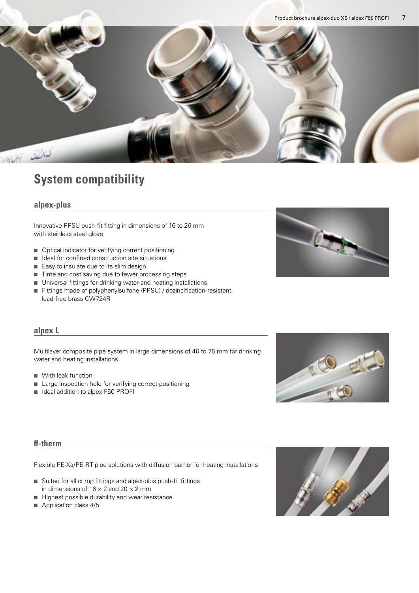

# **System compatibility**

## **alpex-plus**

Innovative PPSU push-fit fitting in dimensions of 16 to 26 mm with stainless steel glove.

- $\blacksquare$  Optical indicator for verifying correct positioning
- $\blacksquare$  Ideal for confined construction site situations
- $\blacksquare$  Easy to insulate due to its slim design
- $\blacksquare$  Time and cost saving due to fewer processing steps
- $\blacksquare$  Universal fittings for drinking water and heating installations
- Fittings made of polyphenylsulfone (PPSU) / dezincification-resistant, lead-free brass CW724R

## **alpex L**

Multilayer composite pipe system in large dimensions of 40 to 75 mm for drinking water and heating installations.

- With leak function
- Large inspection hole for verifying correct positioning
- Ideal addition to alpex F50 PROFI





## **ff-therm**

Flexible PE-Xa/PE-RT pipe solutions with diffusion barrier for heating installations

- Suited for all crimp fittings and alpex-plus push-fit fittings in dimensions of  $16 \times 2$  and  $20 \times 2$  mm
- $\blacksquare$  Highest possible durability and wear resistance
- $\blacksquare$  Application class 4/5